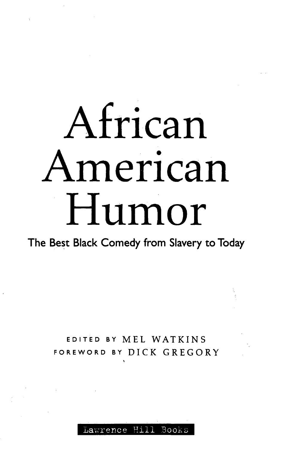# African American Humor

## **The Best Black Comedy from Slavery to Today**

## EDITED BY MEL WATKINS FOREWORD BY DICK GREGORY

#### Lawrence Hil Books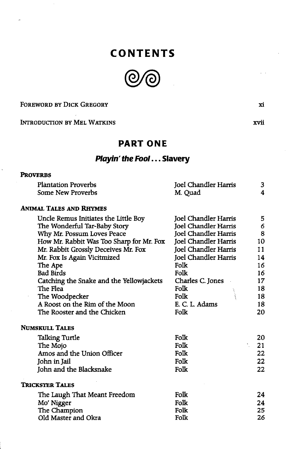## **CONTENTS**



FOREWORD BY DICK GREGORY

INTRODUCTION BY MEL WATKINS

#### **PART ONE**

#### **Playin' the Fool... Slavery**

#### **PROVERBS**

| <b>Plantation Proverbs</b> | Joel Chandler Harris |  |
|----------------------------|----------------------|--|
| Some New Proverbs          | M. Quad              |  |

#### **ANIMAL TALES AND RHYMES**

|                      | 5                                                                                                      |
|----------------------|--------------------------------------------------------------------------------------------------------|
| Joel Chandler Harris | 6                                                                                                      |
| Joel Chandler Harris | 8                                                                                                      |
| Joel Chandler Harris | 10                                                                                                     |
|                      | 11                                                                                                     |
|                      | 14                                                                                                     |
| Folk                 | 16                                                                                                     |
| Folk                 | 16                                                                                                     |
|                      | 17                                                                                                     |
| Folk                 | 18                                                                                                     |
| Folk                 | 18                                                                                                     |
| E. C. L. Adams       | 18                                                                                                     |
| Folk                 | 20                                                                                                     |
|                      |                                                                                                        |
| Folk                 | 20                                                                                                     |
| Folk                 | 21                                                                                                     |
| Folk                 | 22                                                                                                     |
| Folk                 | 22                                                                                                     |
| Folk                 | 22                                                                                                     |
|                      |                                                                                                        |
| Folk                 | 24                                                                                                     |
| Folk                 | 24                                                                                                     |
| Folk                 | 25                                                                                                     |
| Folk                 | 26                                                                                                     |
|                      | Joel Chandler Harris<br><b>Joel Chandler Harris</b><br><b>Joel Chandler Harris</b><br>Charles C. Jones |

**xi**

xvii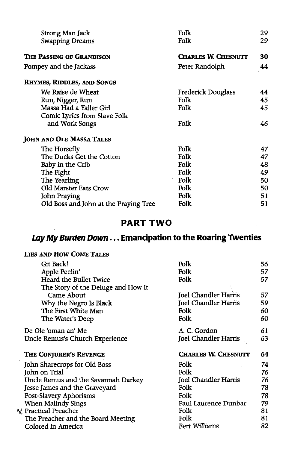| Strong Man Jack                       | Folk                       | 29 |
|---------------------------------------|----------------------------|----|
| <b>Swapping Dreams</b>                | Folk                       | 29 |
| THE PASSING OF GRANDISON              | <b>CHARLES W. CHESNUTT</b> | 30 |
| Pompey and the Jackass                | Peter Randolph             | 44 |
| <b>RHYMES, RIDDLES, AND SONGS</b>     |                            |    |
| We Raise de Wheat                     | Frederick Douglass         | 44 |
| Run, Nigger, Run                      | Folk                       | 45 |
| Massa Had a Yaller Girl               | Folk                       | 45 |
| Comic Lyrics from Slave Folk          |                            |    |
| and Work Songs                        | Folk                       | 46 |
| <b>JOHN AND OLE MASSA TALES</b>       |                            |    |
| The Horsefly                          | Folk                       | 47 |
| The Ducks Get the Cotton              | Folk                       | 47 |
| Baby in the Crib                      | Folk                       | 48 |
| The Fight                             | Folk                       | 49 |
| The Yearling                          | Folk                       | 50 |
| Old Marster Eats Crow                 | Folk                       | 50 |
| John Praying                          | Folk                       | 51 |
| Old Boss and John at the Praying Tree | Folk                       | 51 |

### **PART TW O**

## **Lay My Burden Down... Emancipation to the Roaring Twenties**

#### LIES AND HOW COME TALES

 $\mathcal{A}$ 

| Git Back!                                           | Folk                       | 56 |
|-----------------------------------------------------|----------------------------|----|
| Apple Peelin'                                       | Folk                       | 57 |
| Heard the Bullet Twice                              | Folk                       | 57 |
| The Story of the Deluge and How It                  |                            |    |
| Came About                                          | Joel Chandler Harris       | 57 |
| Why the Negro Is Black                              | Joel Chandler Harris       | 59 |
| The First White Man                                 | Folk                       | 60 |
| The Water's Deep                                    | Folk                       | 60 |
| De Ole 'oman an' Me                                 | A. C. Gordon               | 61 |
| Uncle Remus's Church Experience                     | Joel Chandler Harris       | 63 |
|                                                     |                            |    |
| The Conjurer's Revenge                              | <b>CHARLES W. CHESNUTT</b> | 64 |
|                                                     | Folk                       | 74 |
| John Sharecrops for Old Boss<br>John on Trial       | Folk                       | 76 |
| Uncle Remus and the Savannah Darkey                 | Joel Chandler Harris       | 76 |
| Jesse James and the Graveyard                       | Folk                       | 78 |
|                                                     | Folk                       | 78 |
| Post-Slavery Aphorisms<br><b>When Malindy Sings</b> | Paul Laurence Dunbar       | 79 |
| <b>Practical Preacher</b>                           | Folk                       | 81 |
| The Preacher and the Board Meeting                  | Folk                       | 81 |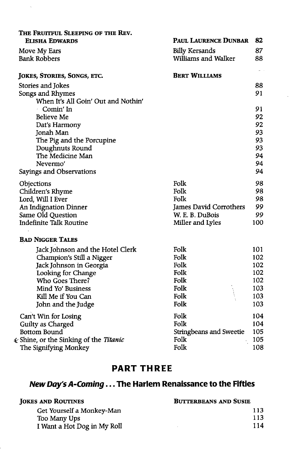| The Fruitful Sleeping of the Rev.<br>ELISHA EDWARDS | Paul Laurence Dunbar           | 82         |
|-----------------------------------------------------|--------------------------------|------------|
|                                                     | <b>Billy Kersands</b>          | 87         |
| Move My Ears<br><b>Bank Robbers</b>                 | Williams and Walker            | 88         |
|                                                     |                                |            |
| JOKES, STORIES, SONGS, ETC.                         | <b>BERT WILLIAMS</b>           |            |
| Stories and Jokes                                   |                                | 88         |
| Songs and Rhymes                                    |                                | 91         |
| When It's All Goin' Out and Nothin'                 |                                |            |
| Comin' In                                           |                                | 91         |
| Believe Me                                          |                                | 92         |
| Dat's Harmony                                       |                                | 92<br>93   |
| Jonah Man<br>The Pig and the Porcupine              |                                | 93         |
| Doughnuts Round                                     |                                | 93         |
| The Medicine Man                                    |                                | 94         |
| Nevermo'                                            |                                | 94         |
| Sayings and Observations                            |                                | 94         |
| Objections                                          | Folk                           | 98         |
| Children's Rhyme                                    | Folk                           | 98         |
| Lord, Will I Ever                                   | Folk                           | 98         |
| An Indignation Dinner                               | James David Corrothers         | 99         |
| Same Old Question                                   | W. E. B. DuBois                | 99         |
| <b>Indefinite Talk Routine</b>                      | Miller and Lyles               | 100        |
| <b>BAD NIGGER TALES</b>                             |                                |            |
| Jack Johnson and the Hotel Clerk                    | Folk                           | 101        |
| Champion's Still a Nigger                           | Folk                           | 102        |
| Jack Johnson in Georgia                             | Folk                           | 102        |
| Looking for Change                                  | Folk                           | 102        |
| Who Goes There?                                     | Folk                           | 102        |
| Mind Yo' Business                                   | Folk                           | 103        |
| Kill Me if You Can                                  | Folk<br>Folk                   | 103<br>103 |
| John and the Judge                                  |                                |            |
| Can't Win for Losing                                | Folk                           | 104        |
| Guilty as Charged                                   | Folk                           | 104        |
| Bottom Bound                                        | <b>Stringbeans and Sweetie</b> | 105        |
| <i>k</i> Shine, or the Sinking of the Titanic       | Folk                           | 105        |
| The Signifying Monkey                               | Folk                           | 108        |

## **PART THREE**

## *New Day's A-Coming...* The Harlem Renaissance to the Fifties

| <b>BUTTERBEANS AND SUSIE</b> |  |
|------------------------------|--|
| 113                          |  |
| 113                          |  |
| 114                          |  |
|                              |  |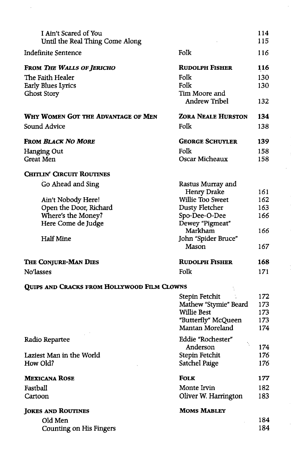| I Ain't Scared of You<br>Until the Real Thing Come Along |                           | 114<br>115 |
|----------------------------------------------------------|---------------------------|------------|
| Indefinite Sentence                                      | Folk                      | 116        |
| FROM THE WALLS OF JERICHO                                | <b>RUDOLPH FISHER</b>     | 116        |
| The Faith Healer                                         | Folk                      | 130        |
| Early Blues Lyrics                                       | Folk                      | 130        |
| Ghost Story                                              | Tim Moore and             |            |
|                                                          | <b>Andrew Tribel</b>      | 132        |
| WHY WOMEN GOT THE ADVANTAGE OF MEN                       | <b>ZORA NEALE HURSTON</b> | 134        |
| Sound Advice                                             | Folk                      | 138        |
| <b>FROM BLACK NO MORE</b>                                | <b>GEORGE SCHUYLER</b>    | 139        |
| Hanging Out                                              | Folk                      | 158        |
| Great Men                                                | Oscar Micheaux            | 158        |
| <b>CHITLIN' CIRCUIT ROUTINES</b>                         |                           |            |
| Go Ahead and Sing                                        | Rastus Murray and         |            |
|                                                          | <b>Henry Drake</b>        | 161        |
| Ain't Nobody Here!                                       | Willie Too Sweet          | 162        |
| Open the Door, Richard                                   | Dusty Fletcher            | 163        |
| Where's the Money?                                       | Spo-Dee-O-Dee             | 166        |
| Here Come de Judge                                       | Dewey "Pigmeat"           |            |
|                                                          | Markham                   | 166        |
| <b>Half Mine</b>                                         | John "Spider Bruce"       |            |
|                                                          | Mason                     | 167        |
| THE CONJURE-MAN DIES                                     | <b>RUDOLPH FISHER</b>     | 168        |
| No'lasses                                                | Folk                      | 171        |
| QUIPS AND CRACKS FROM HOLLYWOOD FILM CLOWNS              |                           |            |
|                                                          | Stepin Fetchit            | 172        |
|                                                          | Mathew "Stymie" Beard     | 173        |
|                                                          | <b>Willie Best</b>        | 173        |
|                                                          | "Butterfly" McQueen       | 173        |
|                                                          | Mantan Moreland           | 174        |
| Radio Repartee                                           | Eddie "Rochester"         |            |
|                                                          | Anderson                  | 174        |
| Laziest Man in the World                                 | Stepin Fetchit            | 176        |
| How Old?                                                 | Satchel Paige             | 176        |
| <b>MEXICANA ROSE</b>                                     | <b>FOLK</b>               | 177        |
| Fastball                                                 | Monte Irvin               | 182        |
| Cartoon                                                  | Oliver W. Harrington      | 183        |
| <b>JOKES AND ROUTINES</b>                                | <b>MOMS MABLEY</b>        |            |
| Old Men                                                  |                           | 184        |
| <b>Counting on His Fingers</b>                           |                           | 184        |
|                                                          |                           |            |

 $\epsilon$ 

 $\ddot{\phantom{a}}$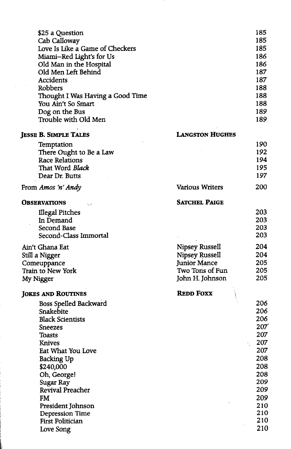| \$25 a Question<br>Cab Calloway<br>Love Is Like a Game of Checkers<br>Miami-Red Light's for Us<br>Old Man in the Hospital<br>Old Men Left Behind<br>Accidents<br>Robbers<br>Thought I Was Having a Good Time<br>You Ain't So Smart<br>Dog on the Bus<br>Trouble with Old Men                                                                |                                                                                               | 185<br>185<br>185<br>186<br>186<br>187<br>187<br>188<br>188<br>188<br>189<br>189                                    |
|---------------------------------------------------------------------------------------------------------------------------------------------------------------------------------------------------------------------------------------------------------------------------------------------------------------------------------------------|-----------------------------------------------------------------------------------------------|---------------------------------------------------------------------------------------------------------------------|
| <b>JESSE B. SIMPLE TALES</b>                                                                                                                                                                                                                                                                                                                | <b>LANGSTON HUGHES</b>                                                                        |                                                                                                                     |
| Temptation<br>There Ought to Be a Law<br>Race Relations<br>That Word Black<br>Dear Dr. Butts                                                                                                                                                                                                                                                |                                                                                               | 190<br>192<br>194<br>195<br>197                                                                                     |
| From Amos 'n' Andy                                                                                                                                                                                                                                                                                                                          | <b>Various Writers</b>                                                                        | 200                                                                                                                 |
| <b>OBSERVATIONS</b><br><b>Illegal Pitches</b><br>In Demand<br>Second Base<br>Second-Class Immortal                                                                                                                                                                                                                                          | <b>SATCHEL PAIGE</b>                                                                          | 203<br>203<br>203<br>203                                                                                            |
| Ain't Ghana Eat<br>Still a Nigger<br>Comeuppance<br>Train to New York<br>My Nigger                                                                                                                                                                                                                                                          | Nipsey Russell<br>Nipsey Russell<br><b>Junior Mance</b><br>Two Tons of Fun<br>John H. Johnson | 204<br>204<br>205<br>205<br>205                                                                                     |
| Jokes and Routines<br><b>Boss Spelled Backward</b><br>Snakebite<br><b>Black Scientists</b><br>Sneezes<br>Toasts<br><b>Knives</b><br>Eat What You Love<br><b>Backing Up</b><br>\$240,000<br>Oh, George!<br>Sugar Ray<br>Revival Preacher<br><b>FM</b><br>President Johnson<br><b>Depression Time</b><br><b>First Politician</b><br>Love Song | <b>REDD FOXX</b>                                                                              | 206<br>206<br>206<br>207<br>207<br>207<br>207<br>208<br>208<br>208<br>209<br>209<br>209<br>210<br>210<br>210<br>210 |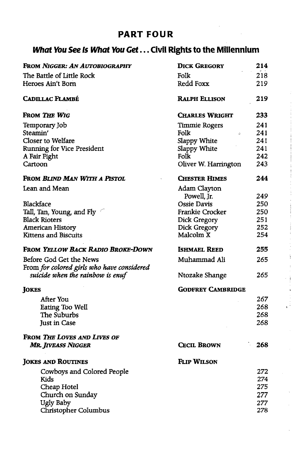## **PART FOUR**

## **What You See Is What You Get... Civil Rights to the Millennium**

| FROM NIGGER: AN AUTOBIOGRAPHY              | <b>DICK GREGORY</b>      | 214  |
|--------------------------------------------|--------------------------|------|
| The Battle of Little Rock                  | Folk                     | 218  |
| Heroes Ain't Born                          | Redd Foxx                | 219  |
| <b>CADILLAC FLAMBÉ</b>                     | <b>RALPH ELLISON</b>     | 219  |
| FROM THE WIG                               | <b>CHARLES WRIGHT</b>    | 233  |
| Temporary Job                              | <b>Timmie Rogers</b>     | 241  |
| Steamin'                                   | Folk<br>S.               | 241  |
| Closer to Welfare                          | Slappy White             | 241  |
| <b>Running for Vice President</b>          | Slappy White             | 241  |
| A Fair Fight                               | Folk                     | 242  |
| Cartoon                                    | Oliver W. Harrington     | 243  |
| FROM BLIND MAN WITH A PISTOL               | <b>CHESTER HIMES</b>     | 244  |
| Lean and Mean                              | Adam Clayton             |      |
|                                            | Powell, Jr.              | 249  |
| Blackface                                  | Ossie Davis              | 250  |
| Tall, Tan, Young, and Fly                  | Frankie Crocker          | 250  |
| <b>Black Rioters</b>                       | Dick Gregory             | 251  |
| American History                           | Dick Gregory             | 252  |
| Kittens and Biscuits                       | Malcolm X                | 254  |
| <b>FROM YELLOW BACK RADIO BROKE-DOWN</b>   | <b>ISHMAEL REED</b>      | 255  |
| Before God Get the News                    | Muhammad Ali             | 265  |
| From for colored girls who have considered |                          |      |
| suicide when the rainbow is enuf           | Ntozake Shange           | 265  |
| <b>JOKES</b>                               | <b>GODFREY CAMBRIDGE</b> |      |
| After You                                  |                          | 267  |
| Eating Too Well                            |                          | 268  |
| The Suburbs                                |                          | 268  |
| <b>Just in Case</b>                        |                          | 268  |
| FROM THE LOVES AND LIVES OF                |                          |      |
| <b>MR. JIVEASS NIGGER</b>                  | <b>CECIL BROWN</b>       | 268  |
| <b>JOKES AND ROUTINES</b>                  | FLIP WILSON              |      |
| Cowboys and Colored People                 |                          | 272  |
| Kids                                       |                          | 274  |
| Cheap Hotel                                |                          | 275  |
| Church on Sunday                           |                          | 277. |
|                                            |                          |      |
| Ugly Baby                                  |                          | 277  |
| Christopher Columbus                       |                          | 278  |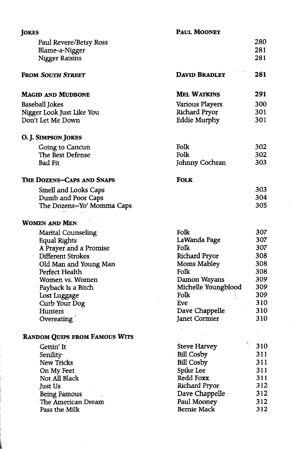| JOKES                                | PAUL MOONEY          |           |
|--------------------------------------|----------------------|-----------|
| Paul Revere/Betsy Ross               |                      | 280       |
| Blame-a-Nigger                       |                      | 281       |
| <b>Nigger Raisins</b>                |                      | 281       |
|                                      |                      |           |
| <b>FROM SOUTH STREET</b>             | <b>DAVID BRADLEY</b> | 281       |
| <b>MAGID AND MUDBONE</b>             | <b>MEL WATKINS</b>   | 291       |
| Baseball Jokes                       | Various Players      | 300       |
| Nigger Look Just Like You            | Richard Pryor        | 301       |
| Don't Let Me Down                    | <b>Eddie Murphy</b>  | 301       |
| O. J. SIMPSON JOKES                  |                      |           |
| Going to Cancun                      | Folk                 | 302       |
| The Best Defense                     | Folk                 | 302       |
| <b>Bad Fit</b>                       | Johnny Cochran       | 303       |
| THE DOZENS-CAPS AND SNAPS            | <b>FOLK</b>          |           |
| Smell and Looks Caps                 |                      | 303       |
| Dumb and Poor Caps                   |                      | 304       |
| The Dozens-Yo' Momma Caps            |                      | 305       |
| <b>WOMEN AND MEN</b>                 |                      |           |
| <b>Marital Counseling</b>            | Folk                 | 307       |
| <b>Equal Rights</b>                  | LaWanda Page         | 307       |
| A Prayer and a Promise               | Folk                 | 307       |
| Different Strokes                    | Richard Pryor        | 308       |
| Old Man and Young Man                | Moms Mabley          | 308       |
| Perfect Health                       | Folk                 | 308       |
| Women vs. Women                      | Damon Wayans         | 309       |
| Payback Is a Bitch                   | Michelle Youngblood  | 309       |
| Lost Luggage                         | Folk                 | 309       |
| Curb Your Dog                        | Eve                  | 310       |
| Hunters                              | Dave Chappelle       | 310       |
| Overeating                           | Janet Cormier        | 310       |
| <b>RANDOM QUIPS FROM FAMOUS WITS</b> |                      |           |
| Gettin' It                           | <b>Steve Harvey</b>  | Ŋ.<br>310 |
| Senility                             | <b>Bill Cosby</b>    | 311       |
| New Tricks                           | <b>Bill Cosby</b>    | 311       |
| On My Feet                           | Spike Lee            | 311       |
| Not All Black                        | Redd Foxx            | 311       |
| Just Us                              | Richard Pryor        | 312       |
| Being Famous                         | Dave Chappelle       | 312       |
| The American Dream                   | Paul Mooney          | 312       |
| Pass the Milk                        | <b>Bernie Mack</b>   | 312       |
|                                      |                      |           |